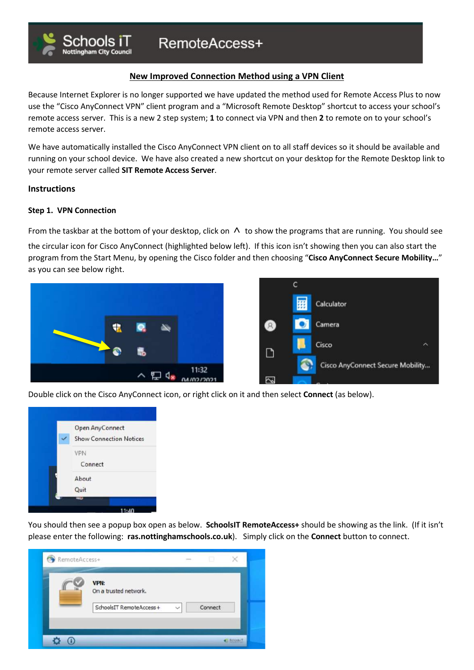# New Improved Connection Method using a VPN Client

Because Internet Explorer is no longer supported we have updated the method used for Remote Access Plus to now use the "Cisco AnyConnect VPN" client program and a "Microsoft Remote Desktop" shortcut to access your school's remote access server. This is a new 2 step system; 1 to connect via VPN and then 2 to remote on to your school's remote access server.

We have automatically installed the Cisco AnyConnect VPN client on to all staff devices so it should be available and running on your school device. We have also created a new shortcut on your desktop for the Remote Desktop link to your remote server called SIT Remote Access Server.

## Instructions

## Step 1. VPN Connection

Schools **i**T

**Nottingham City Council** 

From the taskbar at the bottom of your desktop, click on  $\Lambda$  to show the programs that are running. You should see

the circular icon for Cisco AnyConnect (highlighted below left). If this icon isn't showing then you can also start the program from the Start Menu, by opening the Cisco folder and then choosing "Cisco AnyConnect Secure Mobility..." as you can see below right.





Double click on the Cisco AnyConnect icon, or right click on it and then select Connect (as below).



You should then see a popup box open as below. SchoolsIT RemoteAccess+ should be showing as the link. (If it isn't please enter the following: ras.nottinghamschools.co.uk). Simply click on the Connect button to connect.

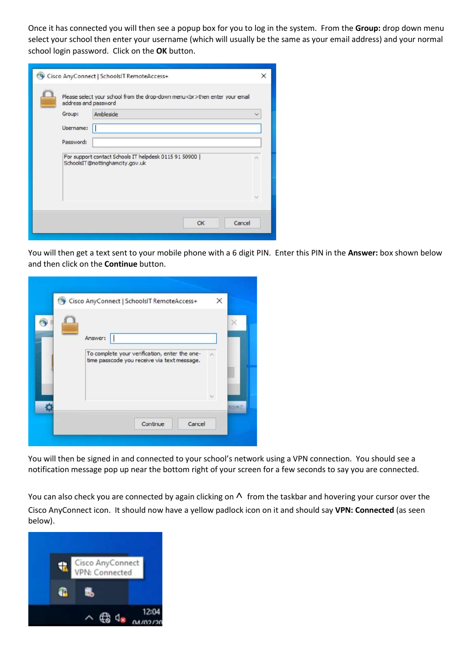Once it has connected you will then see a popup box for you to log in the system. From the Group: drop down menu select your school then enter your username (which will usually be the same as your email address) and your normal school login password. Click on the OK button.

|  | Please select your school from the drop-down menu<br>>ch>then enter your email<br>address and password |                                                                                            |                             |  |  |
|--|--------------------------------------------------------------------------------------------------------|--------------------------------------------------------------------------------------------|-----------------------------|--|--|
|  | Group:                                                                                                 | Ambleside                                                                                  |                             |  |  |
|  | Username:                                                                                              |                                                                                            |                             |  |  |
|  | Password:                                                                                              |                                                                                            |                             |  |  |
|  |                                                                                                        | For support contact Schools IT helpdesk 0115 91 50900  <br>SchoolsIT@nottinghamcity.gov.uk | $\mathcal{L}_{\mathcal{C}}$ |  |  |
|  |                                                                                                        |                                                                                            | $\sim$                      |  |  |

You will then get a text sent to your mobile phone with a 6 digit PIN. Enter this PIN in the Answer: box shown below and then click on the **Continue** button.

| Cisco AnyConnect   SchoolsIT RemoteAccess+                                                                   | $\times$ |
|--------------------------------------------------------------------------------------------------------------|----------|
| Answer:<br>To complete your verification, enter the one-<br>×<br>time passcode you receive via text message. |          |
| Cancel                                                                                                       |          |

You will then be signed in and connected to your school's network using a VPN connection. You should see a notification message pop up near the bottom right of your screen for a few seconds to say you are connected.

You can also check you are connected by again clicking on  $\Lambda$  from the taskbar and hovering your cursor over the Cisco AnyConnect icon. It should now have a yellow padlock icon on it and should say VPN: Connected (as seen below).

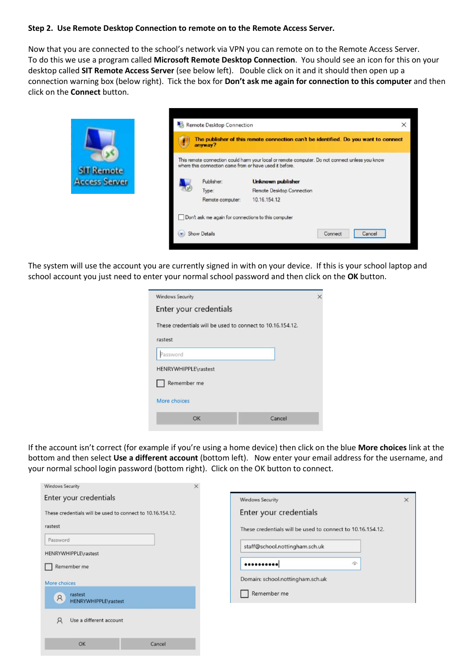### Step 2. Use Remote Desktop Connection to remote on to the Remote Access Server.

Now that you are connected to the school's network via VPN you can remote on to the Remote Access Server. To do this we use a program called Microsoft Remote Desktop Connection. You should see an icon for this on your desktop called SIT Remote Access Server (see below left). Double click on it and it should then open up a connection warning box (below right). Tick the box for Don't ask me again for connection to this computer and then click on the Connect button.



The system will use the account you are currently signed in with on your device. If this is your school laptop and school account you just need to enter your normal school password and then click on the OK button.

| <b>Windows Security</b>                                    |        |  |
|------------------------------------------------------------|--------|--|
| Enter your credentials                                     |        |  |
| These credentials will be used to connect to 10.16.154.12. |        |  |
| rastest                                                    |        |  |
| Password                                                   |        |  |
| HENRYWHIPPLE\rastest                                       |        |  |
| Remember me                                                |        |  |
| More choices                                               |        |  |
| OK                                                         | Cancel |  |

If the account isn't correct (for example if you're using a home device) then click on the blue More choices link at the bottom and then select Use a different account (bottom left). Now enter your email address for the username, and your normal school login password (bottom right). Click on the OK button to connect.

| Windows Security                                           | $\times$                                                   |          |
|------------------------------------------------------------|------------------------------------------------------------|----------|
| Enter your credentials                                     | <b>Windows Security</b>                                    | $\times$ |
| These credentials will be used to connect to 10.16.154.12. | Enter your credentials                                     |          |
| rastest                                                    | These credentials will be used to connect to 10.16.154.12. |          |
| Password                                                   | staff@school.nottingham.sch.uk                             |          |
| HENRYWHIPPLE\rastest                                       |                                                            |          |
| Remember me                                                | $\widehat{\alpha}$<br>                                     |          |
| More choices                                               | Domain: school.nottingham.sch.uk                           |          |
| rastest<br>R<br>HENRYWHIPPLE\rastest                       | Remember me                                                |          |
|                                                            |                                                            |          |
| Use a different account<br>R                               |                                                            |          |
|                                                            |                                                            |          |
| OK<br>Cancel                                               |                                                            |          |
|                                                            |                                                            |          |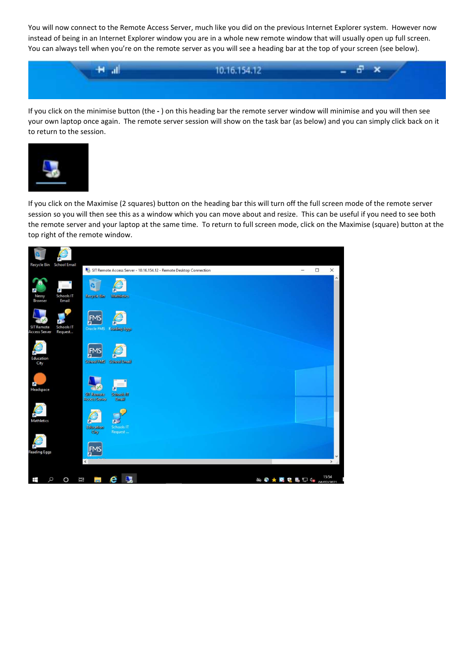You will now connect to the Remote Access Server, much like you did on the previous Internet Explorer system. However now instead of being in an Internet Explorer window you are in a whole new remote window that will usually open up full screen. You can always tell when you're on the remote server as you will see a heading bar at the top of your screen (see below).



If you click on the minimise button (the - ) on this heading bar the remote server window will minimise and you will then see your own laptop once again. The remote server session will show on the task bar (as below) and you can simply click back on it to return to the session.



If you click on the Maximise (2 squares) button on the heading bar this will turn off the full screen mode of the remote server session so you will then see this as a window which you can move about and resize. This can be useful if you need to see both the remote server and your laptop at the same time. To return to full screen mode, click on the Maximise (square) button at the top right of the remote window.

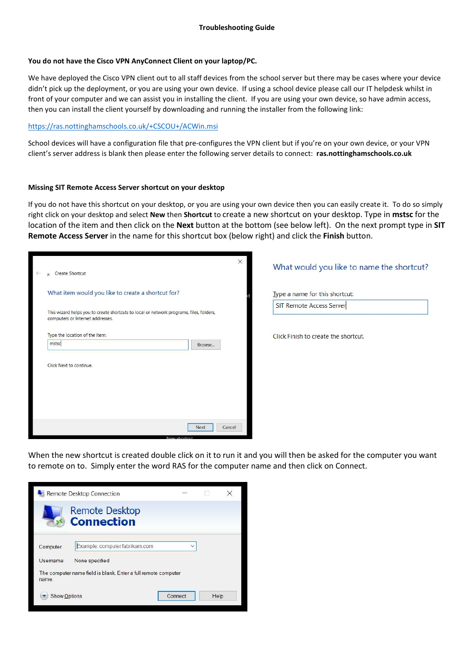#### You do not have the Cisco VPN AnyConnect Client on your laptop/PC.

We have deployed the Cisco VPN client out to all staff devices from the school server but there may be cases where your device didn't pick up the deployment, or you are using your own device. If using a school device please call our IT helpdesk whilst in front of your computer and we can assist you in installing the client. If you are using your own device, so have admin access, then you can install the client yourself by downloading and running the installer from the following link:

#### https://ras.nottinghamschools.co.uk/+CSCOU+/ACWin.msi

School devices will have a configuration file that pre-configures the VPN client but if you're on your own device, or your VPN client's server address is blank then please enter the following server details to connect: ras.nottinghamschools.co.uk

#### Missing SIT Remote Access Server shortcut on your desktop

If you do not have this shortcut on your desktop, or you are using your own device then you can easily create it. To do so simply right click on your desktop and select New then Shortcut to create a new shortcut on your desktop. Type in mstsc for the location of the item and then click on the **Next** button at the bottom (see below left). On the next prompt type in SIT Remote Access Server in the name for this shortcut box (below right) and click the Finish button.

| Create Shortcut<br>$\leftarrow$                                                                                             | $\times$<br>What would you like to name the shortcut? |
|-----------------------------------------------------------------------------------------------------------------------------|-------------------------------------------------------|
| What item would you like to create a shortcut for?                                                                          | Type a name for this shortcut:                        |
| This wizard helps you to create shortcuts to local or network programs, files, folders,<br>computers or Internet addresses. | <b>SIT Remote Access Server</b>                       |
| Type the location of the item:                                                                                              | Click Finish to create the shortcut.                  |
| mstsc<br>Browse                                                                                                             |                                                       |
| Click Next to continue.                                                                                                     |                                                       |
|                                                                                                                             |                                                       |
|                                                                                                                             |                                                       |
|                                                                                                                             |                                                       |
| <b>Next</b>                                                                                                                 | Cancel                                                |

When the new shortcut is created double click on it to run it and you will then be asked for the computer you want to remote on to. Simply enter the word RAS for the computer name and then click on Connect.